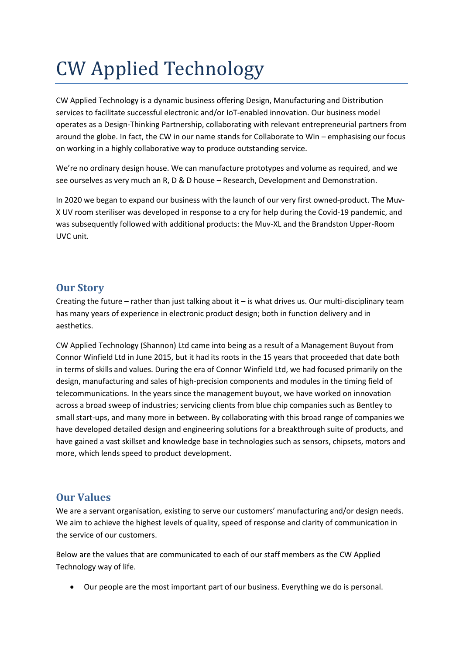## CW Applied Technology

CW Applied Technology is a dynamic business offering Design, Manufacturing and Distribution services to facilitate successful electronic and/or IoT-enabled innovation. Our business model operates as a Design-Thinking Partnership, collaborating with relevant entrepreneurial partners from around the globe. In fact, the CW in our name stands for Collaborate to Win – emphasising our focus on working in a highly collaborative way to produce outstanding service.

We're no ordinary design house. We can manufacture prototypes and volume as required, and we see ourselves as very much an R, D & D house – Research, Development and Demonstration.

In 2020 we began to expand our business with the launch of our very first owned-product. The Muv-X UV room steriliser was developed in response to a cry for help during the Covid-19 pandemic, and was subsequently followed with additional products: the Muv-XL and the Brandston Upper-Room UVC unit.

## **Our Story**

Creating the future – rather than just talking about it – is what drives us. Our multi-disciplinary team has many years of experience in electronic product design; both in function delivery and in aesthetics.

CW Applied Technology (Shannon) Ltd came into being as a result of a Management Buyout from Connor Winfield Ltd in June 2015, but it had its roots in the 15 years that proceeded that date both in terms of skills and values. During the era of Connor Winfield Ltd, we had focused primarily on the design, manufacturing and sales of high-precision components and modules in the timing field of telecommunications. In the years since the management buyout, we have worked on innovation across a broad sweep of industries; servicing clients from blue chip companies such as Bentley to small start-ups, and many more in between. By collaborating with this broad range of companies we have developed detailed design and engineering solutions for a breakthrough suite of products, and have gained a vast skillset and knowledge base in technologies such as sensors, chipsets, motors and more, which lends speed to product development.

## **Our Values**

We are a servant organisation, existing to serve our customers' manufacturing and/or design needs. We aim to achieve the highest levels of quality, speed of response and clarity of communication in the service of our customers.

Below are the values that are communicated to each of our staff members as the CW Applied Technology way of life.

Our people are the most important part of our business. Everything we do is personal.